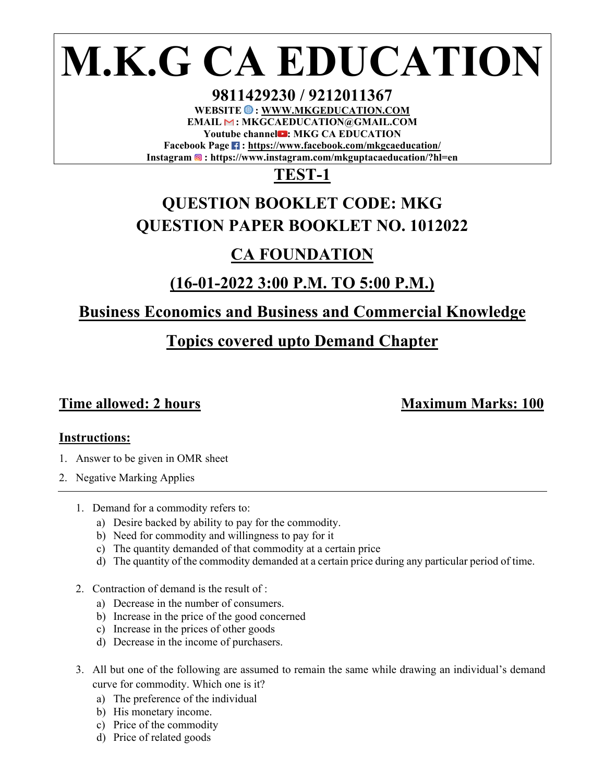# **M.K.G CA EDUCATION**

**9811429230 / 9212011367**  WEBSITE  $\bigcirc$  : WWW.MKGEDUCATION.COM **EMAIL : MKGCAEDUCATION@GMAIL.COM Youtube channel : MKG CA EDUCATION**  Facebook Page **:** https://www.facebook.com/mkgcaeducation/ **Instagram : https://www.instagram.com/mkguptacaeducation/?hl=en** 

# **TEST-1**

# **QUESTION BOOKLET CODE: MKG QUESTION PAPER BOOKLET NO. 1012022**

# **CA FOUNDATION**

# **(16-01-2022 3:00 P.M. TO 5:00 P.M.)**

## **Business Economics and Business and Commercial Knowledge**

# **Topics covered upto Demand Chapter**

## **Time allowed: 2 hours Maximum Marks: 100**

## **Instructions:**

- 1. Answer to be given in OMR sheet
- 2. Negative Marking Applies
	- 1. Demand for a commodity refers to:
		- a) Desire backed by ability to pay for the commodity.
		- b) Need for commodity and willingness to pay for it
		- c) The quantity demanded of that commodity at a certain price
		- d) The quantity of the commodity demanded at a certain price during any particular period of time.
	- 2. Contraction of demand is the result of :
		- a) Decrease in the number of consumers.
		- b) Increase in the price of the good concerned
		- c) Increase in the prices of other goods
		- d) Decrease in the income of purchasers.
	- 3. All but one of the following are assumed to remain the same while drawing an individual's demand curve for commodity. Which one is it?
		- a) The preference of the individual
		- b) His monetary income.
		- c) Price of the commodity
		- d) Price of related goods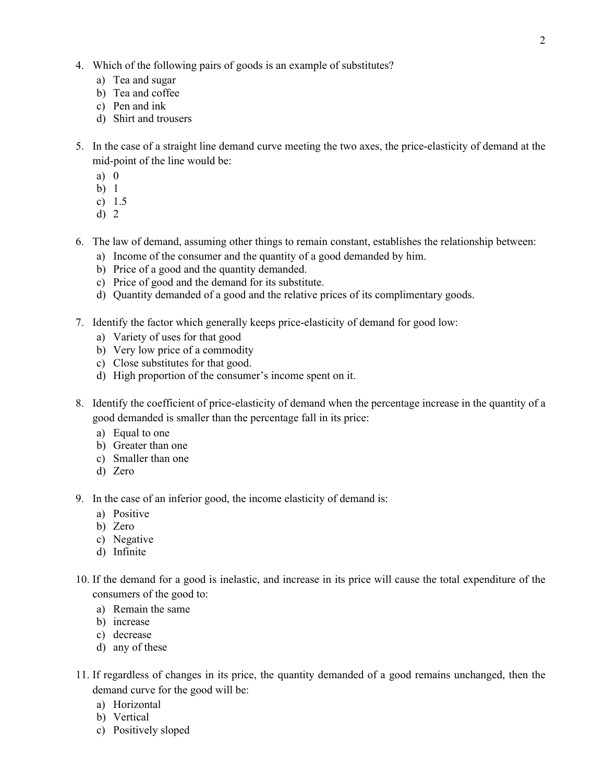- 4. Which of the following pairs of goods is an example of substitutes?
	- a) Tea and sugar
	- b) Tea and coffee
	- c) Pen and ink
	- d) Shirt and trousers
- 5. In the case of a straight line demand curve meeting the two axes, the price-elasticity of demand at the mid-point of the line would be:
	- a) 0
	- b) 1
	- c) 1.5
	- d) 2
- 6. The law of demand, assuming other things to remain constant, establishes the relationship between:
	- a) Income of the consumer and the quantity of a good demanded by him.
	- b) Price of a good and the quantity demanded.
	- c) Price of good and the demand for its substitute.
	- d) Quantity demanded of a good and the relative prices of its complimentary goods.
- 7. Identify the factor which generally keeps price-elasticity of demand for good low:
	- a) Variety of uses for that good
	- b) Very low price of a commodity
	- c) Close substitutes for that good.
	- d) High proportion of the consumer's income spent on it.
- 8. Identify the coefficient of price-elasticity of demand when the percentage increase in the quantity of a good demanded is smaller than the percentage fall in its price:
	- a) Equal to one
	- b) Greater than one
	- c) Smaller than one
	- d) Zero
- 9. In the case of an inferior good, the income elasticity of demand is:
	- a) Positive
	- b) Zero
	- c) Negative
	- d) Infinite
- 10. If the demand for a good is inelastic, and increase in its price will cause the total expenditure of the consumers of the good to:
	- a) Remain the same
	- b) increase
	- c) decrease
	- d) any of these
- 11. If regardless of changes in its price, the quantity demanded of a good remains unchanged, then the demand curve for the good will be:
	- a) Horizontal
	- b) Vertical
	- c) Positively sloped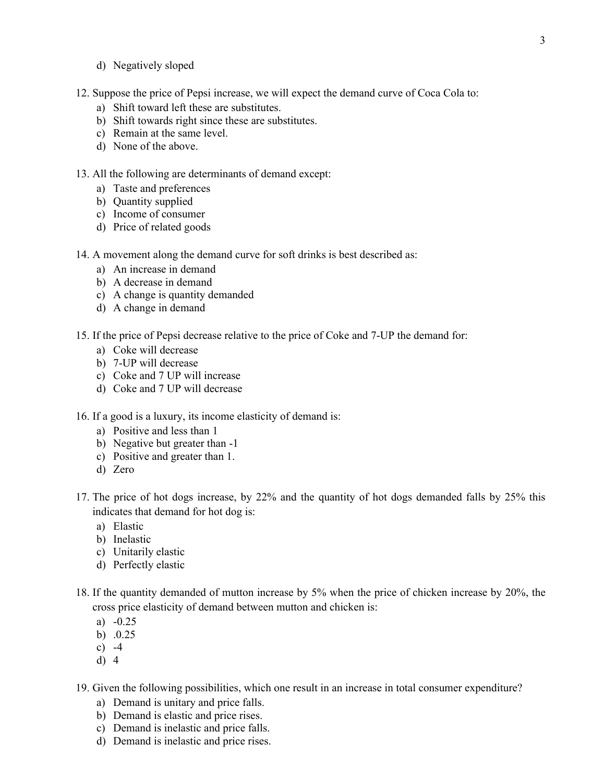- d) Negatively sloped
- 12. Suppose the price of Pepsi increase, we will expect the demand curve of Coca Cola to:
	- a) Shift toward left these are substitutes.
	- b) Shift towards right since these are substitutes.
	- c) Remain at the same level.
	- d) None of the above.

### 13. All the following are determinants of demand except:

- a) Taste and preferences
- b) Quantity supplied
- c) Income of consumer
- d) Price of related goods
- 14. A movement along the demand curve for soft drinks is best described as:
	- a) An increase in demand
	- b) A decrease in demand
	- c) A change is quantity demanded
	- d) A change in demand
- 15. If the price of Pepsi decrease relative to the price of Coke and 7-UP the demand for:
	- a) Coke will decrease
	- b) 7-UP will decrease
	- c) Coke and 7 UP will increase
	- d) Coke and 7 UP will decrease
- 16. If a good is a luxury, its income elasticity of demand is:
	- a) Positive and less than 1
	- b) Negative but greater than -1
	- c) Positive and greater than 1.
	- d) Zero
- 17. The price of hot dogs increase, by 22% and the quantity of hot dogs demanded falls by 25% this indicates that demand for hot dog is:
	- a) Elastic
	- b) Inelastic
	- c) Unitarily elastic
	- d) Perfectly elastic
- 18. If the quantity demanded of mutton increase by 5% when the price of chicken increase by 20%, the cross price elasticity of demand between mutton and chicken is:
	- a) -0.25
	- b) .0.25
	- c)  $-4$
	- d) 4
- 19. Given the following possibilities, which one result in an increase in total consumer expenditure?
	- a) Demand is unitary and price falls.
	- b) Demand is elastic and price rises.
	- c) Demand is inelastic and price falls.
	- d) Demand is inelastic and price rises.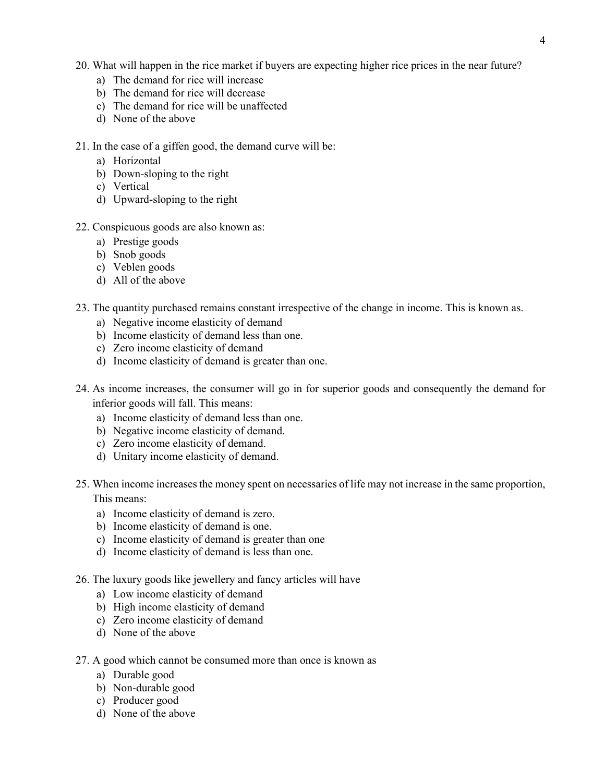- 20. What will happen in the rice market if buyers are expecting higher rice prices in the near future?
	- a) The demand for rice will increase
	- b) The demand for rice will decrease
	- c) The demand for rice will be unaffected
	- d) None of the above
- 21. In the case of a giffen good, the demand curve will be:
	- a) Horizontal
	- b) Down-sloping to the right
	- c) Vertical
	- d) Upward-sloping to the right
- 22. Conspicuous goods are also known as:
	- a) Prestige goods
	- b) Snob goods
	- c) Veblen goods
	- d) All of the above
- 23. The quantity purchased remains constant irrespective of the change in income. This is known as.
	- a) Negative income elasticity of demand
	- b) Income elasticity of demand less than one.
	- c) Zero income elasticity of demand
	- d) Income elasticity of demand is greater than one.
- 24. As income increases, the consumer will go in for superior goods and consequently the demand for inferior goods will fall. This means:
	- a) Income elasticity of demand less than one.
	- b) Negative income elasticity of demand.
	- c) Zero income elasticity of demand.
	- d) Unitary income elasticity of demand.
- 25. When income increases the money spent on necessaries of life may not increase in the same proportion, This means:
	- a) Income elasticity of demand is zero.
	- b) Income elasticity of demand is one.
	- c) Income elasticity of demand is greater than one
	- d) Income elasticity of demand is less than one.
- 26. The luxury goods like jewellery and fancy articles will have
	- a) Low income elasticity of demand
	- b) High income elasticity of demand
	- c) Zero income elasticity of demand
	- d) None of the above
- 27. A good which cannot be consumed more than once is known as
	- a) Durable good
	- b) Non-durable good
	- c) Producer good
	- d) None of the above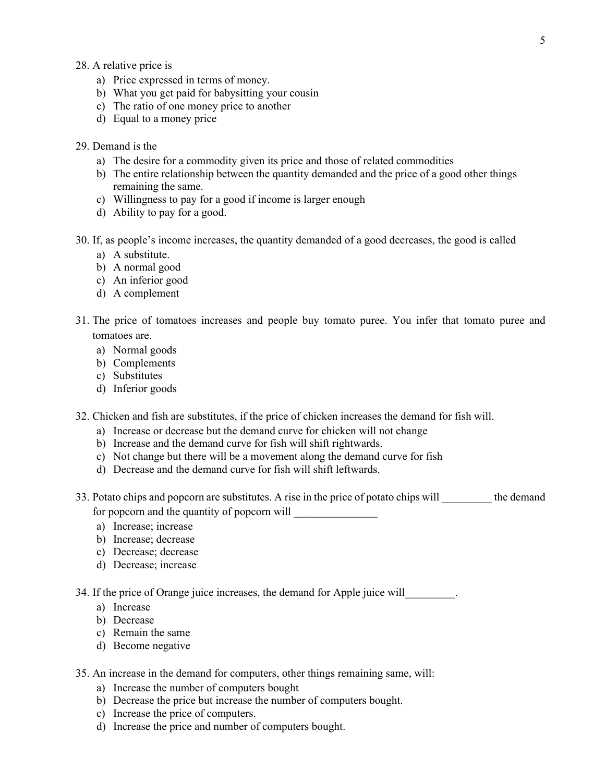- 28. A relative price is
	- a) Price expressed in terms of money.
	- b) What you get paid for babysitting your cousin
	- c) The ratio of one money price to another
	- d) Equal to a money price
- 29. Demand is the
	- a) The desire for a commodity given its price and those of related commodities
	- b) The entire relationship between the quantity demanded and the price of a good other things remaining the same.
	- c) Willingness to pay for a good if income is larger enough
	- d) Ability to pay for a good.
- 30. If, as people's income increases, the quantity demanded of a good decreases, the good is called
	- a) A substitute.
	- b) A normal good
	- c) An inferior good
	- d) A complement
- 31. The price of tomatoes increases and people buy tomato puree. You infer that tomato puree and tomatoes are.
	- a) Normal goods
	- b) Complements
	- c) Substitutes
	- d) Inferior goods
- 32. Chicken and fish are substitutes, if the price of chicken increases the demand for fish will.
	- a) Increase or decrease but the demand curve for chicken will not change
	- b) Increase and the demand curve for fish will shift rightwards.
	- c) Not change but there will be a movement along the demand curve for fish
	- d) Decrease and the demand curve for fish will shift leftwards.
- 33. Potato chips and popcorn are substitutes. A rise in the price of potato chips will the demand for popcorn and the quantity of popcorn will
	- a) Increase; increase
	- b) Increase; decrease
	- c) Decrease; decrease
	- d) Decrease; increase

34. If the price of Orange juice increases, the demand for Apple juice will

- a) Increase
- b) Decrease
- c) Remain the same
- d) Become negative
- 35. An increase in the demand for computers, other things remaining same, will:
	- a) Increase the number of computers bought
	- b) Decrease the price but increase the number of computers bought.
	- c) Increase the price of computers.
	- d) Increase the price and number of computers bought.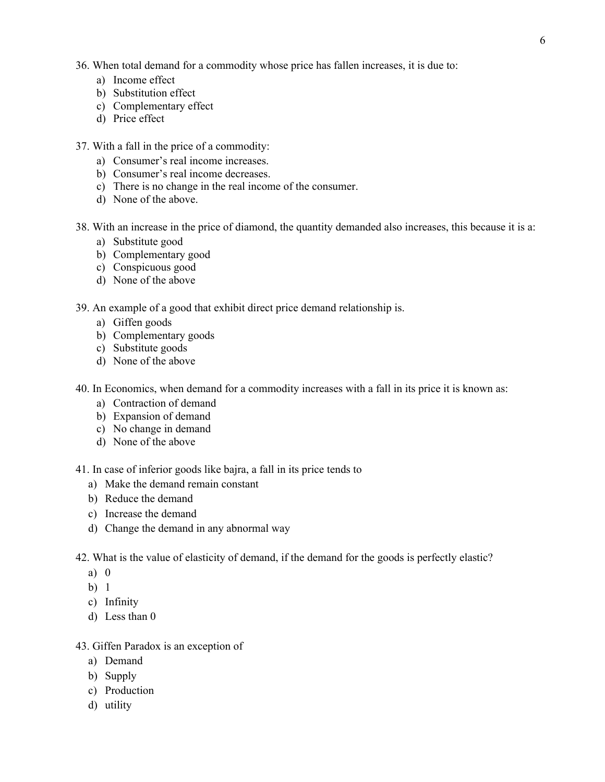- 36. When total demand for a commodity whose price has fallen increases, it is due to:
	- a) Income effect
	- b) Substitution effect
	- c) Complementary effect
	- d) Price effect
- 37. With a fall in the price of a commodity:
	- a) Consumer's real income increases.
	- b) Consumer's real income decreases.
	- c) There is no change in the real income of the consumer.
	- d) None of the above.
- 38. With an increase in the price of diamond, the quantity demanded also increases, this because it is a:
	- a) Substitute good
	- b) Complementary good
	- c) Conspicuous good
	- d) None of the above
- 39. An example of a good that exhibit direct price demand relationship is.
	- a) Giffen goods
	- b) Complementary goods
	- c) Substitute goods
	- d) None of the above
- 40. In Economics, when demand for a commodity increases with a fall in its price it is known as:
	- a) Contraction of demand
	- b) Expansion of demand
	- c) No change in demand
	- d) None of the above
- 41. In case of inferior goods like bajra, a fall in its price tends to
	- a) Make the demand remain constant
	- b) Reduce the demand
	- c) Increase the demand
	- d) Change the demand in any abnormal way
- 42. What is the value of elasticity of demand, if the demand for the goods is perfectly elastic?
	- a) 0
	- b) 1
	- c) Infinity
	- d) Less than 0

## 43. Giffen Paradox is an exception of

- a) Demand
- b) Supply
- c) Production
- d) utility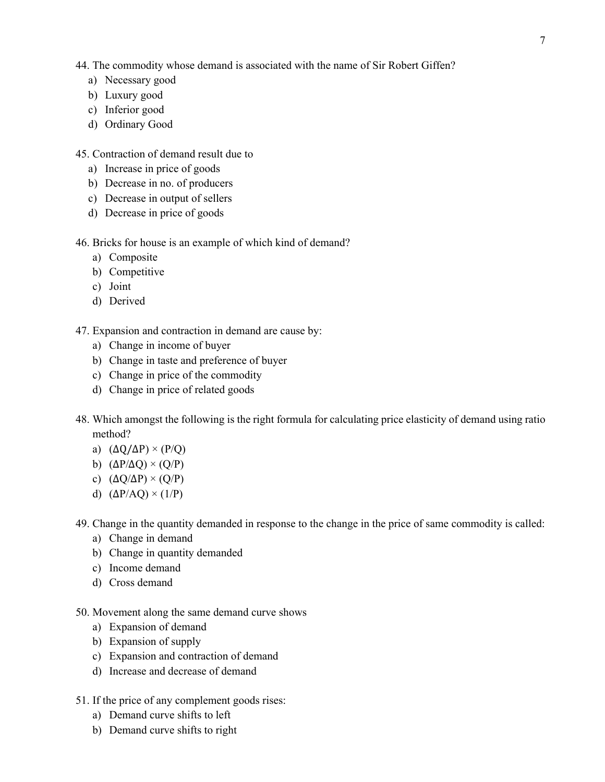44. The commodity whose demand is associated with the name of Sir Robert Giffen?

- a) Necessary good
- b) Luxury good
- c) Inferior good
- d) Ordinary Good

45. Contraction of demand result due to

- a) Increase in price of goods
- b) Decrease in no. of producers
- c) Decrease in output of sellers
- d) Decrease in price of goods

46. Bricks for house is an example of which kind of demand?

- a) Composite
- b) Competitive
- c) Joint
- d) Derived

47. Expansion and contraction in demand are cause by:

- a) Change in income of buyer
- b) Change in taste and preference of buyer
- c) Change in price of the commodity
- d) Change in price of related goods
- 48. Which amongst the following is the right formula for calculating price elasticity of demand using ratio method?
	- a)  $(\Delta Q/\Delta P) \times (P/Q)$
	- b)  $(\Delta P/\Delta Q) \times (Q/P)$
	- c)  $(\Delta Q/\Delta P) \times (Q/P)$
	- d)  $(\Delta P/AQ) \times (1/P)$

49. Change in the quantity demanded in response to the change in the price of same commodity is called:

- a) Change in demand
- b) Change in quantity demanded
- c) Income demand
- d) Cross demand
- 50. Movement along the same demand curve shows
	- a) Expansion of demand
	- b) Expansion of supply
	- c) Expansion and contraction of demand
	- d) Increase and decrease of demand
- 51. If the price of any complement goods rises:
	- a) Demand curve shifts to left
	- b) Demand curve shifts to right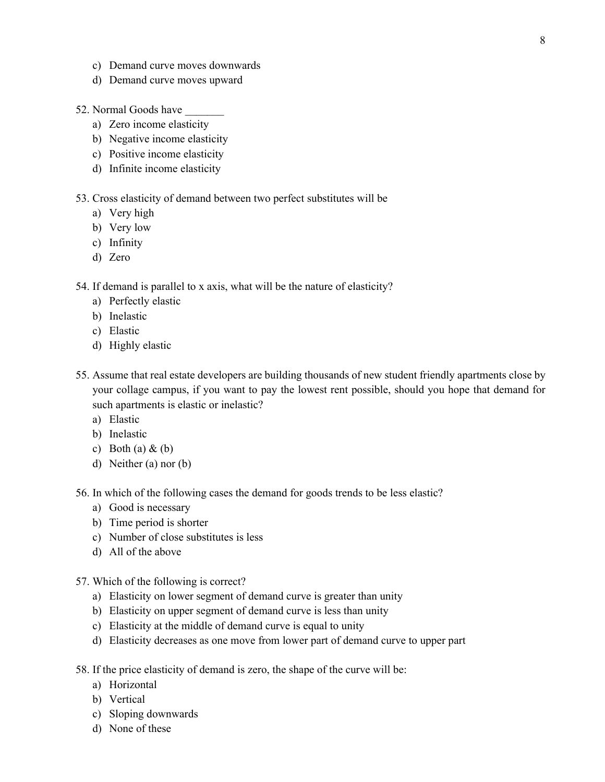- c) Demand curve moves downwards
- d) Demand curve moves upward
- 52. Normal Goods have
	- a) Zero income elasticity
	- b) Negative income elasticity
	- c) Positive income elasticity
	- d) Infinite income elasticity

#### 53. Cross elasticity of demand between two perfect substitutes will be

- a) Very high
- b) Very low
- c) Infinity
- d) Zero

54. If demand is parallel to x axis, what will be the nature of elasticity?

- a) Perfectly elastic
- b) Inelastic
- c) Elastic
- d) Highly elastic
- 55. Assume that real estate developers are building thousands of new student friendly apartments close by your collage campus, if you want to pay the lowest rent possible, should you hope that demand for such apartments is elastic or inelastic?
	- a) Elastic
	- b) Inelastic
	- c) Both (a)  $\&$  (b)
	- d) Neither (a) nor (b)

56. In which of the following cases the demand for goods trends to be less elastic?

- a) Good is necessary
- b) Time period is shorter
- c) Number of close substitutes is less
- d) All of the above
- 57. Which of the following is correct?
	- a) Elasticity on lower segment of demand curve is greater than unity
	- b) Elasticity on upper segment of demand curve is less than unity
	- c) Elasticity at the middle of demand curve is equal to unity
	- d) Elasticity decreases as one move from lower part of demand curve to upper part
- 58. If the price elasticity of demand is zero, the shape of the curve will be:
	- a) Horizontal
	- b) Vertical
	- c) Sloping downwards
	- d) None of these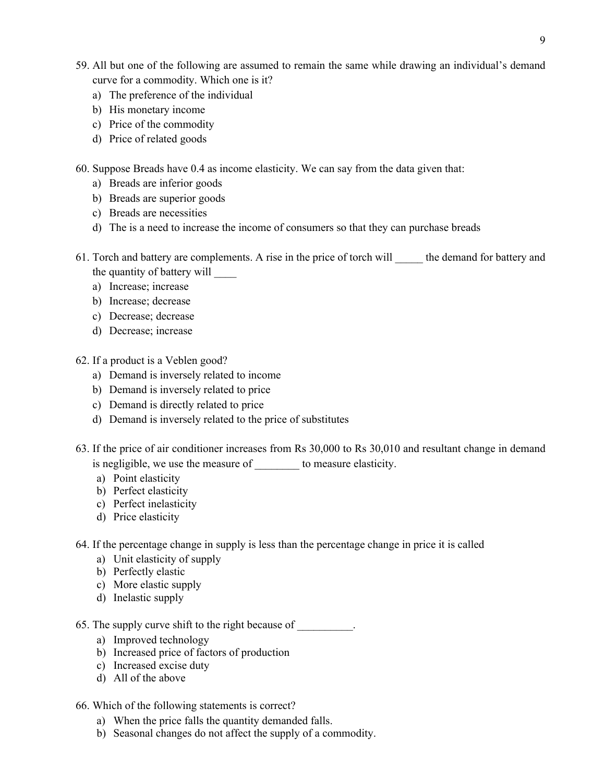- 59. All but one of the following are assumed to remain the same while drawing an individual's demand curve for a commodity. Which one is it?
	- a) The preference of the individual
	- b) His monetary income
	- c) Price of the commodity
	- d) Price of related goods
- 60. Suppose Breads have 0.4 as income elasticity. We can say from the data given that:
	- a) Breads are inferior goods
	- b) Breads are superior goods
	- c) Breads are necessities
	- d) The is a need to increase the income of consumers so that they can purchase breads
- 61. Torch and battery are complements. A rise in the price of torch will the demand for battery and the quantity of battery will \_\_\_\_
	- a) Increase; increase
	- b) Increase; decrease
	- c) Decrease; decrease
	- d) Decrease; increase
- 62. If a product is a Veblen good?
	- a) Demand is inversely related to income
	- b) Demand is inversely related to price
	- c) Demand is directly related to price
	- d) Demand is inversely related to the price of substitutes
- 63. If the price of air conditioner increases from Rs 30,000 to Rs 30,010 and resultant change in demand is negligible, we use the measure of to measure elasticity.
	- a) Point elasticity
	- b) Perfect elasticity
	- c) Perfect inelasticity
	- d) Price elasticity
- 64. If the percentage change in supply is less than the percentage change in price it is called
	- a) Unit elasticity of supply
	- b) Perfectly elastic
	- c) More elastic supply
	- d) Inelastic supply
- 65. The supply curve shift to the right because of  $\qquad$ .
	- a) Improved technology
	- b) Increased price of factors of production
	- c) Increased excise duty
	- d) All of the above
- 66. Which of the following statements is correct?
	- a) When the price falls the quantity demanded falls.
	- b) Seasonal changes do not affect the supply of a commodity.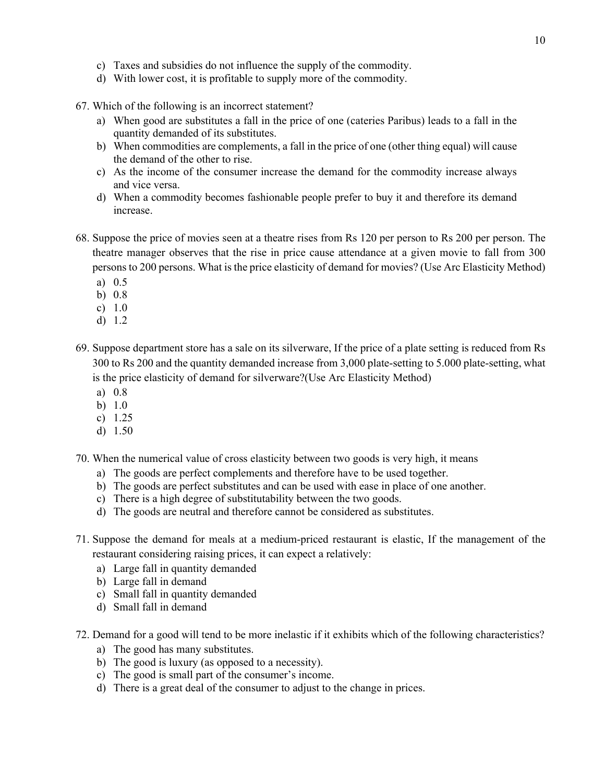- c) Taxes and subsidies do not influence the supply of the commodity.
- d) With lower cost, it is profitable to supply more of the commodity.
- 67. Which of the following is an incorrect statement?
	- a) When good are substitutes a fall in the price of one (cateries Paribus) leads to a fall in the quantity demanded of its substitutes.
	- b) When commodities are complements, a fall in the price of one (other thing equal) will cause the demand of the other to rise.
	- c) As the income of the consumer increase the demand for the commodity increase always and vice versa.
	- d) When a commodity becomes fashionable people prefer to buy it and therefore its demand increase.
- 68. Suppose the price of movies seen at a theatre rises from Rs 120 per person to Rs 200 per person. The theatre manager observes that the rise in price cause attendance at a given movie to fall from 300 persons to 200 persons. What is the price elasticity of demand for movies? (Use Arc Elasticity Method)
	- a) 0.5
	- b) 0.8
	- c) 1.0
	- d) 1.2
- 69. Suppose department store has a sale on its silverware, If the price of a plate setting is reduced from Rs 300 to Rs 200 and the quantity demanded increase from 3,000 plate-setting to 5.000 plate-setting, what is the price elasticity of demand for silverware?(Use Arc Elasticity Method)
	- a) 0.8
	- b) 1.0
	- c) 1.25
	- d) 1.50
- 70. When the numerical value of cross elasticity between two goods is very high, it means
	- a) The goods are perfect complements and therefore have to be used together.
	- b) The goods are perfect substitutes and can be used with ease in place of one another.
	- c) There is a high degree of substitutability between the two goods.
	- d) The goods are neutral and therefore cannot be considered as substitutes.
- 71. Suppose the demand for meals at a medium-priced restaurant is elastic, If the management of the restaurant considering raising prices, it can expect a relatively:
	- a) Large fall in quantity demanded
	- b) Large fall in demand
	- c) Small fall in quantity demanded
	- d) Small fall in demand
- 72. Demand for a good will tend to be more inelastic if it exhibits which of the following characteristics?
	- a) The good has many substitutes.
	- b) The good is luxury (as opposed to a necessity).
	- c) The good is small part of the consumer's income.
	- d) There is a great deal of the consumer to adjust to the change in prices.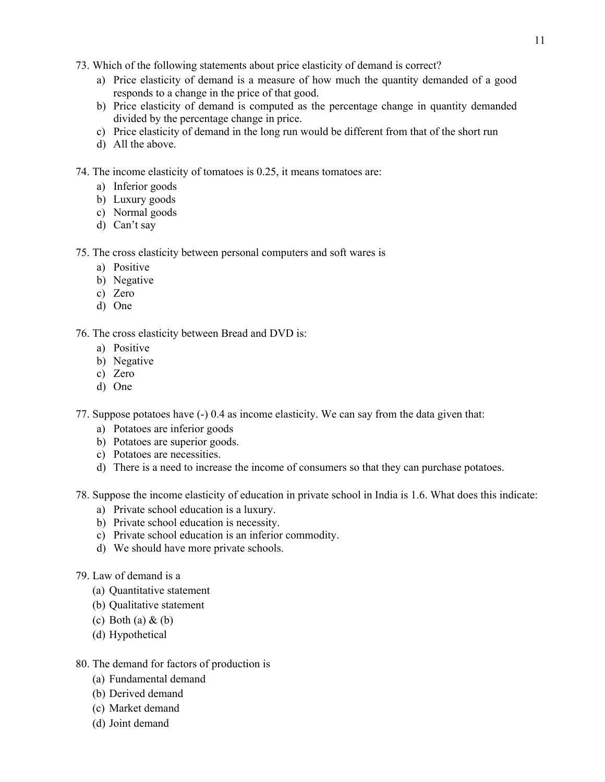- 73. Which of the following statements about price elasticity of demand is correct?
	- a) Price elasticity of demand is a measure of how much the quantity demanded of a good responds to a change in the price of that good.
	- b) Price elasticity of demand is computed as the percentage change in quantity demanded divided by the percentage change in price.
	- c) Price elasticity of demand in the long run would be different from that of the short run
	- d) All the above.
- 74. The income elasticity of tomatoes is 0.25, it means tomatoes are:
	- a) Inferior goods
	- b) Luxury goods
	- c) Normal goods
	- d) Can't say

#### 75. The cross elasticity between personal computers and soft wares is

- a) Positive
- b) Negative
- c) Zero
- d) One

76. The cross elasticity between Bread and DVD is:

- a) Positive
- b) Negative
- c) Zero
- d) One

77. Suppose potatoes have (-) 0.4 as income elasticity. We can say from the data given that:

- a) Potatoes are inferior goods
- b) Potatoes are superior goods.
- c) Potatoes are necessities.
- d) There is a need to increase the income of consumers so that they can purchase potatoes.

78. Suppose the income elasticity of education in private school in India is 1.6. What does this indicate:

- a) Private school education is a luxury.
- b) Private school education is necessity.
- c) Private school education is an inferior commodity.
- d) We should have more private schools.
- 79. Law of demand is a
	- (a) Quantitative statement
	- (b) Qualitative statement
	- (c) Both (a)  $&$  (b)
	- (d) Hypothetical
- 80. The demand for factors of production is
	- (a) Fundamental demand
	- (b) Derived demand
	- (c) Market demand
	- (d) Joint demand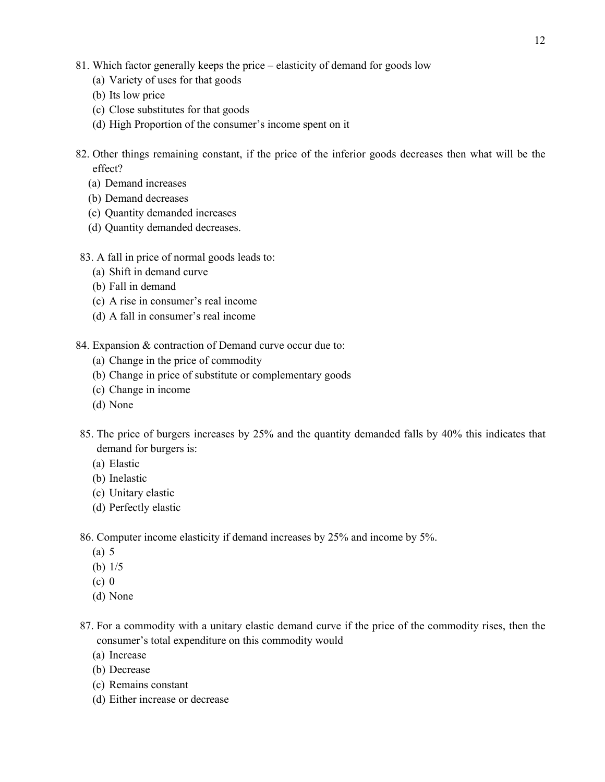- 81. Which factor generally keeps the price elasticity of demand for goods low
	- (a) Variety of uses for that goods
	- (b) Its low price
	- (c) Close substitutes for that goods
	- (d) High Proportion of the consumer's income spent on it
- 82. Other things remaining constant, if the price of the inferior goods decreases then what will be the effect?
	- (a) Demand increases
	- (b) Demand decreases
	- (c) Quantity demanded increases
	- (d) Quantity demanded decreases.

## 83. A fall in price of normal goods leads to:

- (a) Shift in demand curve
- (b) Fall in demand
- (c) A rise in consumer's real income
- (d) A fall in consumer's real income
- 84. Expansion & contraction of Demand curve occur due to:
	- (a) Change in the price of commodity
	- (b) Change in price of substitute or complementary goods
	- (c) Change in income
	- (d) None
- 85. The price of burgers increases by 25% and the quantity demanded falls by 40% this indicates that demand for burgers is:
	- (a) Elastic
	- (b) Inelastic
	- (c) Unitary elastic
	- (d) Perfectly elastic

86. Computer income elasticity if demand increases by 25% and income by 5%.

- (a) 5
- (b) 1/5
- (c) 0
- (d) None
- 87. For a commodity with a unitary elastic demand curve if the price of the commodity rises, then the consumer's total expenditure on this commodity would
	- (a) Increase
	- (b) Decrease
	- (c) Remains constant
	- (d) Either increase or decrease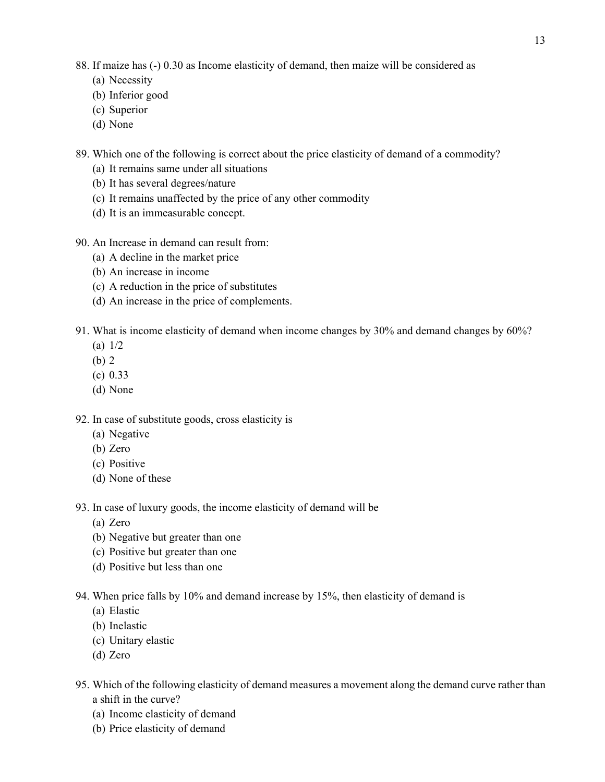- 88. If maize has (-) 0.30 as Income elasticity of demand, then maize will be considered as
	- (a) Necessity
	- (b) Inferior good
	- (c) Superior
	- (d) None
- 89. Which one of the following is correct about the price elasticity of demand of a commodity?
	- (a) It remains same under all situations
	- (b) It has several degrees/nature
	- (c) It remains unaffected by the price of any other commodity
	- (d) It is an immeasurable concept.
- 90. An Increase in demand can result from:
	- (a) A decline in the market price
	- (b) An increase in income
	- (c) A reduction in the price of substitutes
	- (d) An increase in the price of complements.
- 91. What is income elasticity of demand when income changes by 30% and demand changes by 60%?
	- (a) 1/2
	- (b) 2
	- (c) 0.33
	- (d) None

92. In case of substitute goods, cross elasticity is

- (a) Negative
- (b) Zero
- (c) Positive
- (d) None of these
- 93. In case of luxury goods, the income elasticity of demand will be
	- (a) Zero
	- (b) Negative but greater than one
	- (c) Positive but greater than one
	- (d) Positive but less than one
- 94. When price falls by 10% and demand increase by 15%, then elasticity of demand is
	- (a) Elastic
	- (b) Inelastic
	- (c) Unitary elastic
	- (d) Zero
- 95. Which of the following elasticity of demand measures a movement along the demand curve rather than a shift in the curve?
	- (a) Income elasticity of demand
	- (b) Price elasticity of demand